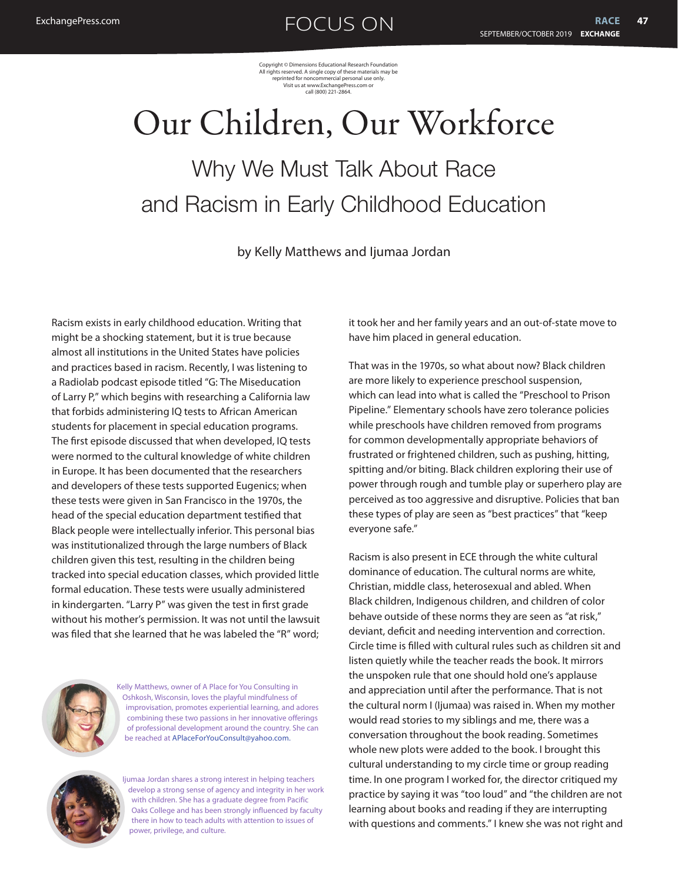Copyright © Dimensions Educational Research Foundation All rights reserved. A single copy of these materials may be reprinted for noncommercial personal use only. Visit us at www.ExchangePress.com or call (800) 221-2864.

# Our Children, Our Workforce Why We Must Talk About Race and Racism in Early Childhood Education

by Kelly Matthews and Ijumaa Jordan

Racism exists in early childhood education. Writing that might be a shocking statement, but it is true because almost all institutions in the United States have policies and practices based in racism. Recently, I was listening to a Radiolab podcast episode titled "G: The Miseducation of Larry P," which begins with researching a California law that forbids administering IQ tests to African American students for placement in special education programs. The first episode discussed that when developed, IQ tests were normed to the cultural knowledge of white children in Europe. It has been documented that the researchers and developers of these tests supported Eugenics; when these tests were given in San Francisco in the 1970s, the head of the special education department testified that Black people were intellectually inferior. This personal bias was institutionalized through the large numbers of Black children given this test, resulting in the children being tracked into special education classes, which provided little formal education. These tests were usually administered in kindergarten. "Larry P" was given the test in first grade without his mother's permission. It was not until the lawsuit was filed that she learned that he was labeled the "R" word;



Kelly Matthews, owner of A Place for You Consulting in Oshkosh, Wisconsin, loves the playful mindfulness of improvisation, promotes experiential learning, and adores combining these two passions in her innovative offerings of professional development around the country. She can be reached at [APlaceForYouConsult@yahoo.com](mailto:APlaceForYouConsult@yahoo.com).



Ijumaa Jordan shares a strong interest in helping teachers develop a strong sense of agency and integrity in her work with children. She has a graduate degree from Pacific Oaks College and has been strongly influenced by faculty there in how to teach adults with attention to issues of power, privilege, and culture.

it took her and her family years and an out-of-state move to have him placed in general education.

That was in the 1970s, so what about now? Black children are more likely to experience preschool suspension, which can lead into what is called the "Preschool to Prison Pipeline." Elementary schools have zero tolerance policies while preschools have children removed from programs for common developmentally appropriate behaviors of frustrated or frightened children, such as pushing, hitting, spitting and/or biting. Black children exploring their use of power through rough and tumble play or superhero play are perceived as too aggressive and disruptive. Policies that ban these types of play are seen as "best practices" that "keep everyone safe."

Racism is also present in ECE through the white cultural dominance of education. The cultural norms are white, Christian, middle class, heterosexual and abled. When Black children, Indigenous children, and children of color behave outside of these norms they are seen as "at risk," deviant, deficit and needing intervention and correction. Circle time is filled with cultural rules such as children sit and listen quietly while the teacher reads the book. It mirrors the unspoken rule that one should hold one's applause and appreciation until after the performance. That is not the cultural norm I (Ijumaa) was raised in. When my mother would read stories to my siblings and me, there was a conversation throughout the book reading. Sometimes whole new plots were added to the book. I brought this cultural understanding to my circle time or group reading time. In one program I worked for, the director critiqued my practice by saying it was "too loud" and "the children are not learning about books and reading if they are interrupting with questions and comments." I knew she was not right and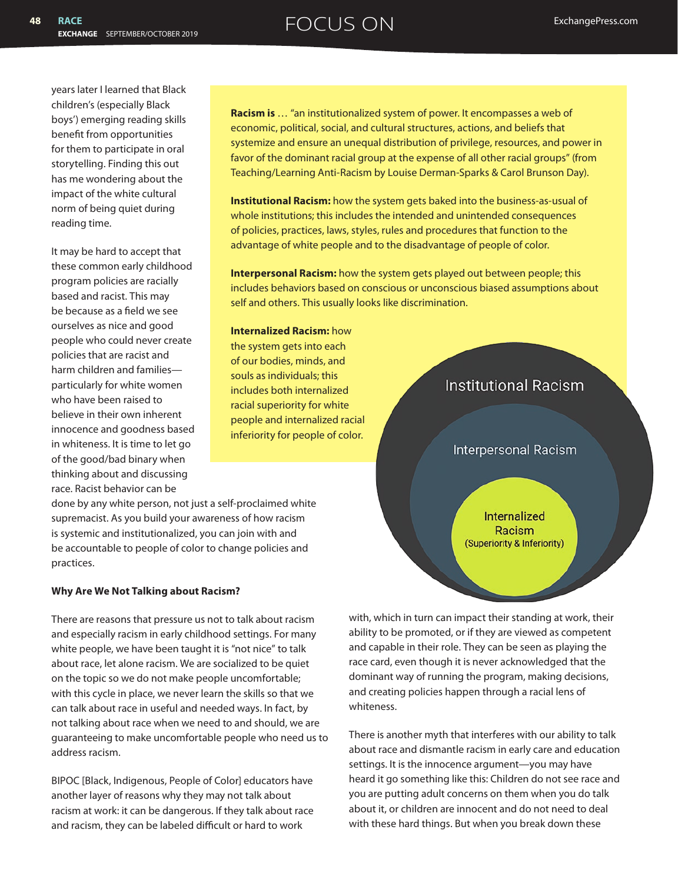years later I learned that Black children's (especially Black boys') emerging reading skills benefit from opportunities for them to participate in oral storytelling. Finding this out has me wondering about the impact of the white cultural norm of being quiet during reading time.

It may be hard to accept that these common early childhood program policies are racially based and racist. This may be because as a field we see ourselves as nice and good people who could never create policies that are racist and harm children and families particularly for white women who have been raised to believe in their own inherent innocence and goodness based in whiteness. It is time to let go of the good/bad binary when thinking about and discussing race. Racist behavior can be

**Racism is** … "an institutionalized system of power. It encompasses a web of economic, political, social, and cultural structures, actions, and beliefs that systemize and ensure an unequal distribution of privilege, resources, and power in favor of the dominant racial group at the expense of all other racial groups" (from Teaching/Learning Anti-Racism by Louise Derman-Sparks & Carol Brunson Day).

**Institutional Racism:** how the system gets baked into the business-as-usual of whole institutions; this includes the intended and unintended consequences of policies, practices, laws, styles, rules and procedures that function to the advantage of white people and to the disadvantage of people of color.

**Interpersonal Racism:** how the system gets played out between people; this includes behaviors based on conscious or unconscious biased assumptions about self and others. This usually looks like discrimination.

**Internalized Racism:** how the system gets into each of our bodies, minds, and souls as individuals; this includes both internalized racial superiority for white people and internalized racial inferiority for people of color.

done by any white person, not just a self-proclaimed white supremacist. As you build your awareness of how racism is systemic and institutionalized, you can join with and be accountable to people of color to change policies and practices.

## **Why Are We Not Talking about Racism?**

There are reasons that pressure us not to talk about racism and especially racism in early childhood settings. For many white people, we have been taught it is "not nice" to talk about race, let alone racism. We are socialized to be quiet on the topic so we do not make people uncomfortable; with this cycle in place, we never learn the skills so that we can talk about race in useful and needed ways. In fact, by not talking about race when we need to and should, we are guaranteeing to make uncomfortable people who need us to address racism.

BIPOC [Black, Indigenous, People of Color] educators have another layer of reasons why they may not talk about racism at work: it can be dangerous. If they talk about race and racism, they can be labeled difficult or hard to work



with, which in turn can impact their standing at work, their ability to be promoted, or if they are viewed as competent and capable in their role. They can be seen as playing the race card, even though it is never acknowledged that the dominant way of running the program, making decisions, and creating policies happen through a racial lens of whiteness.

There is another myth that interferes with our ability to talk about race and dismantle racism in early care and education settings. It is the innocence argument—you may have heard it go something like this: Children do not see race and you are putting adult concerns on them when you do talk about it, or children are innocent and do not need to deal with these hard things. But when you break down these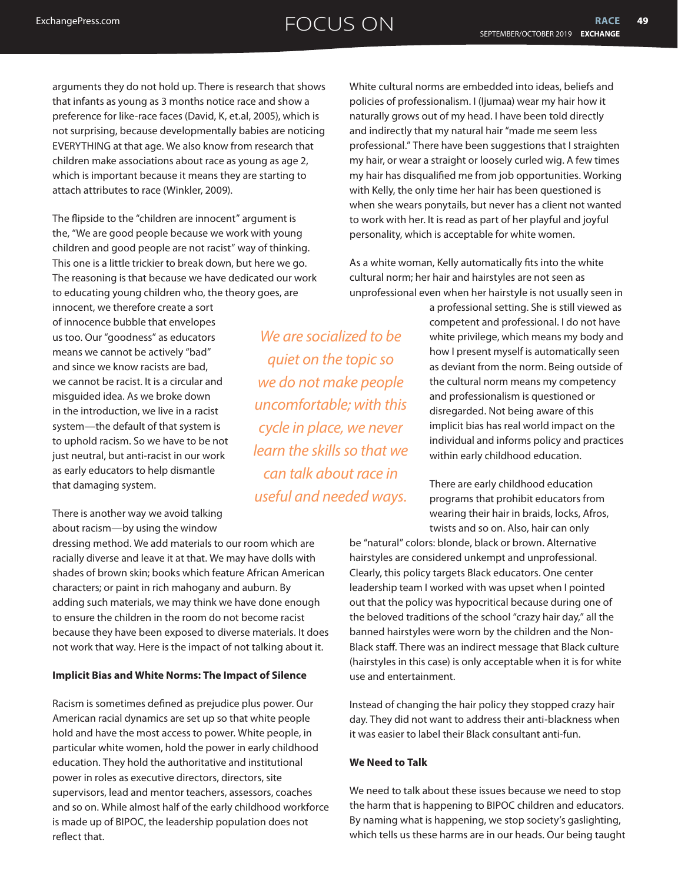arguments they do not hold up. There is research that shows that infants as young as 3 months notice race and show a preference for like-race faces (David, K, et.al, 2005), which is not surprising, because developmentally babies are noticing EVERYTHING at that age. We also know from research that children make associations about race as young as age 2, which is important because it means they are starting to attach attributes to race (Winkler, 2009).

The flipside to the "children are innocent" argument is the, "We are good people because we work with young children and good people are not racist" way of thinking. This one is a little trickier to break down, but here we go. The reasoning is that because we have dedicated our work to educating young children who, the theory goes, are

innocent, we therefore create a sort of innocence bubble that envelopes us too. Our "goodness" as educators means we cannot be actively "bad" and since we know racists are bad, we cannot be racist. It is a circular and misguided idea. As we broke down in the introduction, we live in a racist system—the default of that system is to uphold racism. So we have to be not just neutral, but anti-racist in our work as early educators to help dismantle that damaging system.

There is another way we avoid talking about racism—by using the window

dressing method. We add materials to our room which are racially diverse and leave it at that. We may have dolls with shades of brown skin; books which feature African American characters; or paint in rich mahogany and auburn. By adding such materials, we may think we have done enough to ensure the children in the room do not become racist because they have been exposed to diverse materials. It does not work that way. Here is the impact of not talking about it.

## **Implicit Bias and White Norms: The Impact of Silence**

Racism is sometimes defined as prejudice plus power. Our American racial dynamics are set up so that white people hold and have the most access to power. White people, in particular white women, hold the power in early childhood education. They hold the authoritative and institutional power in roles as executive directors, directors, site supervisors, lead and mentor teachers, assessors, coaches and so on. While almost half of the early childhood workforce is made up of BIPOC, the leadership population does not reflect that.

*We are socialized to be quiet on the topic so we do not make people uncomfortable; with this cycle in place, we never learn the skills so that we can talk about race in useful and needed ways.*

White cultural norms are embedded into ideas, beliefs and policies of professionalism. I (Ijumaa) wear my hair how it naturally grows out of my head. I have been told directly and indirectly that my natural hair "made me seem less professional." There have been suggestions that I straighten my hair, or wear a straight or loosely curled wig. A few times my hair has disqualified me from job opportunities. Working with Kelly, the only time her hair has been questioned is when she wears ponytails, but never has a client not wanted to work with her. It is read as part of her playful and joyful personality, which is acceptable for white women.

As a white woman, Kelly automatically fits into the white cultural norm; her hair and hairstyles are not seen as unprofessional even when her hairstyle is not usually seen in

> a professional setting. She is still viewed as competent and professional. I do not have white privilege, which means my body and how I present myself is automatically seen as deviant from the norm. Being outside of the cultural norm means my competency and professionalism is questioned or disregarded. Not being aware of this implicit bias has real world impact on the individual and informs policy and practices within early childhood education.

There are early childhood education programs that prohibit educators from wearing their hair in braids, locks, Afros, twists and so on. Also, hair can only

be "natural" colors: blonde, black or brown. Alternative hairstyles are considered unkempt and unprofessional. Clearly, this policy targets Black educators. One center leadership team I worked with was upset when I pointed out that the policy was hypocritical because during one of the beloved traditions of the school "crazy hair day," all the banned hairstyles were worn by the children and the Non-Black staff. There was an indirect message that Black culture (hairstyles in this case) is only acceptable when it is for white use and entertainment.

Instead of changing the hair policy they stopped crazy hair day. They did not want to address their anti-blackness when it was easier to label their Black consultant anti-fun.

### **We Need to Talk**

We need to talk about these issues because we need to stop the harm that is happening to BIPOC children and educators. By naming what is happening, we stop society's gaslighting, which tells us these harms are in our heads. Our being taught